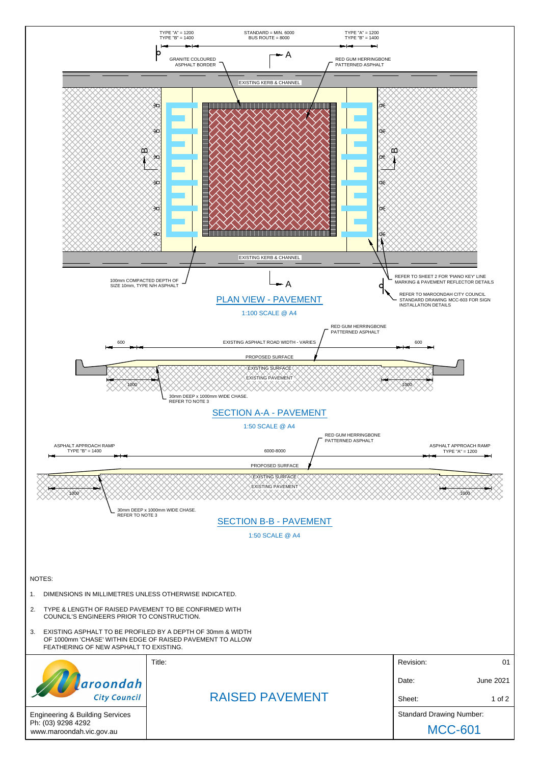